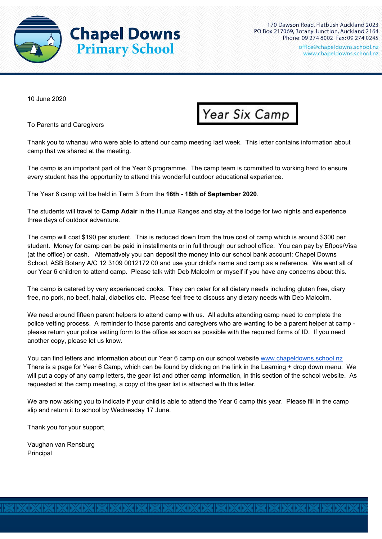

10 June 2020

To Parents and Caregivers



Thank you to whanau who were able to attend our camp meeting last week. This letter contains information about camp that we shared at the meeting.

The camp is an important part of the Year 6 programme. The camp team is committed to working hard to ensure every student has the opportunity to attend this wonderful outdoor educational experience.

The Year 6 camp will be held in Term 3 from the **16th - 18th of September 2020**.

The students will travel to **Camp Adair** in the Hunua Ranges and stay at the lodge for two nights and experience three days of outdoor adventure.

The camp will cost \$190 per student. This is reduced down from the true cost of camp which is around \$300 per student. Money for camp can be paid in installments or in full through our school office. You can pay by Eftpos/Visa (at the office) or cash. Alternatively you can deposit the money into our school bank account: Chapel Downs School, ASB Botany A/C 12 3109 0012172 00 and use your child's name and camp as a reference. We want all of our Year 6 children to attend camp. Please talk with Deb Malcolm or myself if you have any concerns about this.

The camp is catered by very experienced cooks. They can cater for all dietary needs including gluten free, diary free, no pork, no beef, halal, diabetics etc. Please feel free to discuss any dietary needs with Deb Malcolm.

We need around fifteen parent helpers to attend camp with us. All adults attending camp need to complete the police vetting process. A reminder to those parents and caregivers who are wanting to be a parent helper at camp please return your police vetting form to the office as soon as possible with the required forms of ID. If you need another copy, please let us know.

You can find letters and information about our Year 6 camp on our school website [www.chapeldowns.school.nz](http://www.chapeldowns.school.nz/) There is a page for Year 6 Camp, which can be found by clicking on the link in the Learning + drop down menu. We will put a copy of any camp letters, the gear list and other camp information, in this section of the school website. As requested at the camp meeting, a copy of the gear list is attached with this letter.

We are now asking you to indicate if your child is able to attend the Year 6 camp this year. Please fill in the camp slip and return it to school by Wednesday 17 June.

Thank you for your support,

Vaughan van Rensburg Principal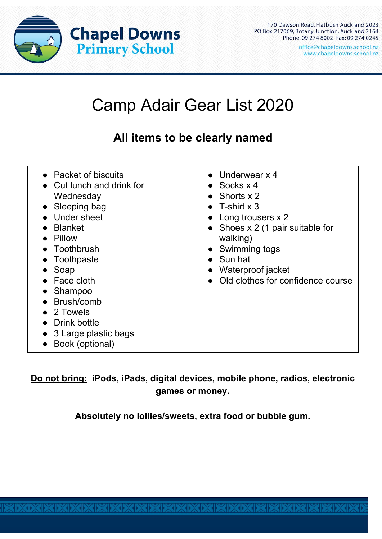

170 Dawson Road, Flatbush Auckland 2023 PO Box 217069, Botany Junction, Auckland 2164 Phone: 09 274 8002 Fax: 09 274 0245

office@chapeldowns.school.nz www.chapeldowns.school.nz

## Camp Adair Gear List 2020

## **All items to be clearly named**

| • Packet of biscuits<br>Cut lunch and drink for<br>Wednesday<br>• Sleeping bag<br>Under sheet<br><b>Blanket</b><br>Pillow<br>Toothbrush<br>Toothpaste<br>Soap<br>Face cloth<br>Shampoo<br>Brush/comb<br>$\bullet$ 2 Towels<br>Drink bottle<br>3 Large plastic bags<br>Book (optional) | $\bullet$ Underwear x 4<br>$\bullet$ Socks x 4<br>• Shorts $x 2$<br>• T-shirt $x$ 3<br>• Long trousers $x$ 2<br>• Shoes $x \, 2$ (1 pair suitable for<br>walking)<br>Swimming togs<br>$\bullet$ Sun hat<br>• Waterproof jacket<br>Old clothes for confidence course |
|---------------------------------------------------------------------------------------------------------------------------------------------------------------------------------------------------------------------------------------------------------------------------------------|---------------------------------------------------------------------------------------------------------------------------------------------------------------------------------------------------------------------------------------------------------------------|
|---------------------------------------------------------------------------------------------------------------------------------------------------------------------------------------------------------------------------------------------------------------------------------------|---------------------------------------------------------------------------------------------------------------------------------------------------------------------------------------------------------------------------------------------------------------------|

**Do not bring: iPods, iPads, digital devices, mobile phone, radios, electronic games or money.**

**Absolutely no lollies/sweets, extra food or bubble gum.**

**XIXIXIXIXIXIXIXIXIXIXI**